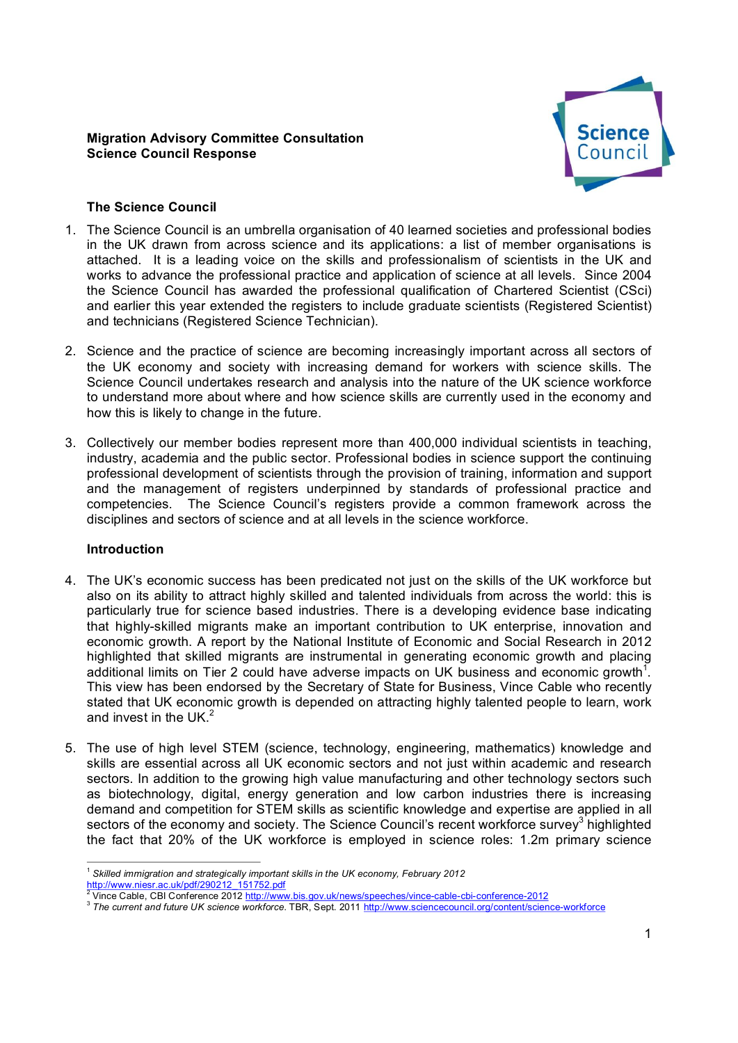## **Migration Advisory Committee Consultation Science Council Response**



# **The Science Council**

- 1. The Science Council is an umbrella organisation of 40 learned societies and professional bodies in the UK drawn from across science and its applications: a list of member organisations is attached. It is a leading voice on the skills and professionalism of scientists in the UK and works to advance the professional practice and application of science at all levels. Since 2004 the Science Council has awarded the professional qualification of Chartered Scientist (CSci) and earlier this year extended the registers to include graduate scientists (Registered Scientist) and technicians (Registered Science Technician).
- 2. Science and the practice of science are becoming increasingly important across all sectors of the UK economy and society with increasing demand for workers with science skills. The Science Council undertakes research and analysis into the nature of the UK science workforce to understand more about where and how science skills are currently used in the economy and how this is likely to change in the future.
- 3. Collectively our member bodies represent more than 400,000 individual scientists in teaching, industry, academia and the public sector. Professional bodies in science support the continuing professional development of scientists through the provision of training, information and support and the management of registers underpinned by standards of professional practice and competencies. The Science Council's registers provide a common framework across the disciplines and sectors of science and at all levels in the science workforce.

### **Introduction**

- 4. The UK's economic success has been predicated not just on the skills of the UK workforce but also on its ability to attract highly skilled and talented individuals from across the world: this is particularly true for science based industries. There is a developing evidence base indicating that highlyskilled migrants make an important contribution to UK enterprise, innovation and economic growth. A report by the National Institute of Economic and Social Research in 2012 highlighted that skilled migrants are instrumental in generating economic growth and placing additional limits on Tier 2 could have adverse impacts on UK business and economic growth<sup>1</sup>. This view has been endorsed by the Secretary of State for Business, Vince Cable who recently stated that UK economic growth is depended on attracting highly talented people to learn, work and invest in the UK. $<sup>2</sup>$ </sup>
- 5. The use of high level STEM (science, technology, engineering, mathematics) knowledge and skills are essential across all UK economic sectors and not just within academic and research sectors. In addition to the growing high value manufacturing and other technology sectors such as biotechnology, digital, energy generation and low carbon industries there is increasing demand and competition for STEM skills as scientific knowledge and expertise are applied in all sectors of the economy and society. The Science Council's recent workforce survey<sup>3</sup> highlighted the fact that 20% of the UK workforce is employed in science roles: 1.2m primary science

<sup>&</sup>lt;sup>1</sup> Skilled immigration and strategically important skills in the UK economy, February 2012<br>
http://www.niesr.ac.uk/pdf/290212\_151752.pdf<br>
<sup>2</sup> Vince Ochlare Ochlare 2016

Vince Cable, CBI Conference 2012 http://www.bis.gov.uk/news/speeches/vince-cable-cbi-conference-2012

<sup>3</sup> *The current and future UK science workforce*. TBR, Sept. 2011 [http://www.sciencecouncil.org/content/scienceworkforce](http://www.sciencecouncil.org/content/science-workforce)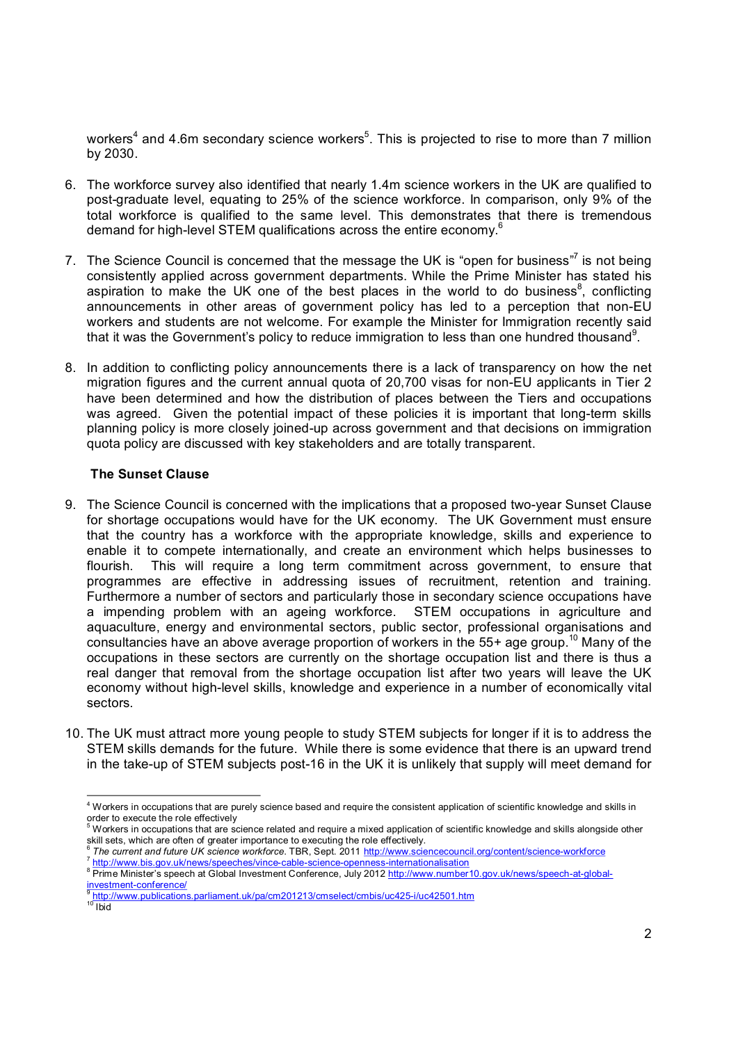workers $^4$  and 4.6m secondary science workers $^5$ . This is projected to rise to more than 7 million by 2030.

- 6. The workforce survey also identified that nearly 1.4m science workers in the UK are qualified to post-graduate level, equating to 25% of the science workforce. In comparison, only 9% of the total workforce is qualified to the same level. This demonstrates that there is tremendous demand for high-level STEM qualifications across the entire economy.<sup>6</sup>
- 7. The Science Council is concerned that the message the UK is "open for business"<sup>7</sup> is not being consistently applied across government departments. While the Prime Minister has stated his aspiration to make the UK one of the best places in the world to do business<sup>8</sup>, conflicting announcements in other areas of government policy has led to a perception that non-EU workers and students are not welcome. For example the Minister for Immigration recently said that it was the Government's policy to reduce immigration to less than one hundred thousand<sup>9</sup>.
- 8. In addition to conflicting policy announcements there is a lack of transparency on how the net migration figures and the current annual quota of 20,700 visas for non-EU applicants in Tier 2 have been determined and how the distribution of places between the Tiers and occupations was agreed. Given the potential impact of these policies it is important that long-term skills planning policy is more closely joined-up across government and that decisions on immigration quota policy are discussed with key stakeholders and are totally transparent.

## **The Sunset Clause**

- 9. The Science Council is concerned with the implications that a proposed two-year Sunset Clause for shortage occupations would have for the UK economy. The UK Government must ensure that the country has a workforce with the appropriate knowledge, skills and experience to enable it to compete internationally, and create an environment which helps businesses to flourish. This will require a long term commitment across government, to ensure that programmes are effective in addressing issues of recruitment, retention and training. Furthermore a number of sectors and particularly those in secondary science occupations have a impending problem with an ageing workforce. STEM occupations in agriculture and aquaculture, energy and environmental sectors, public sector, professional organisations and consultancies have an above average proportion of workers in the 55+ age group. <sup>10</sup> Many of the occupations in these sectors are currently on the shortage occupation list and there is thus a real danger that removal from the shortage occupation list after two years will leave the UK economy without high-level skills, knowledge and experience in a number of economically vital sectors.
- 10. The UK must attract more young people to study STEM subjects for longer if it is to address the STEM skills demands for the future. While there is some evidence that there is an upward trend in the take-up of STEM subjects post-16 in the UK it is unlikely that supply will meet demand for

<sup>&</sup>lt;sup>4</sup> Workers in occupations that are purely science based and require the consistent application of scientific knowledge and skills in order to execute the role effectively

 $^5$  Workers in occupations that are science related and require a mixed application of scientific knowledge and skills alongside other skill sets, which are often of greater importance to executing the role effectively.

<sup>&</sup>lt;sup>6</sup>The current and future UK science workforce. TBR, Sept. 2011 http://www.sciencecouncil.org/content/science-workforce<br>
<sup>7</sup> http://www.bis.gov.uk/news/speeches/vince-cable-science-openness-internationalisation<br>
<sup>8</sup> Prime

<sup>&</sup>lt;u>investment conference</u><br>http://www.publications.parliament.uk/pa/cm201213/cmselect/cmbis/uc425-i/uc42501.htm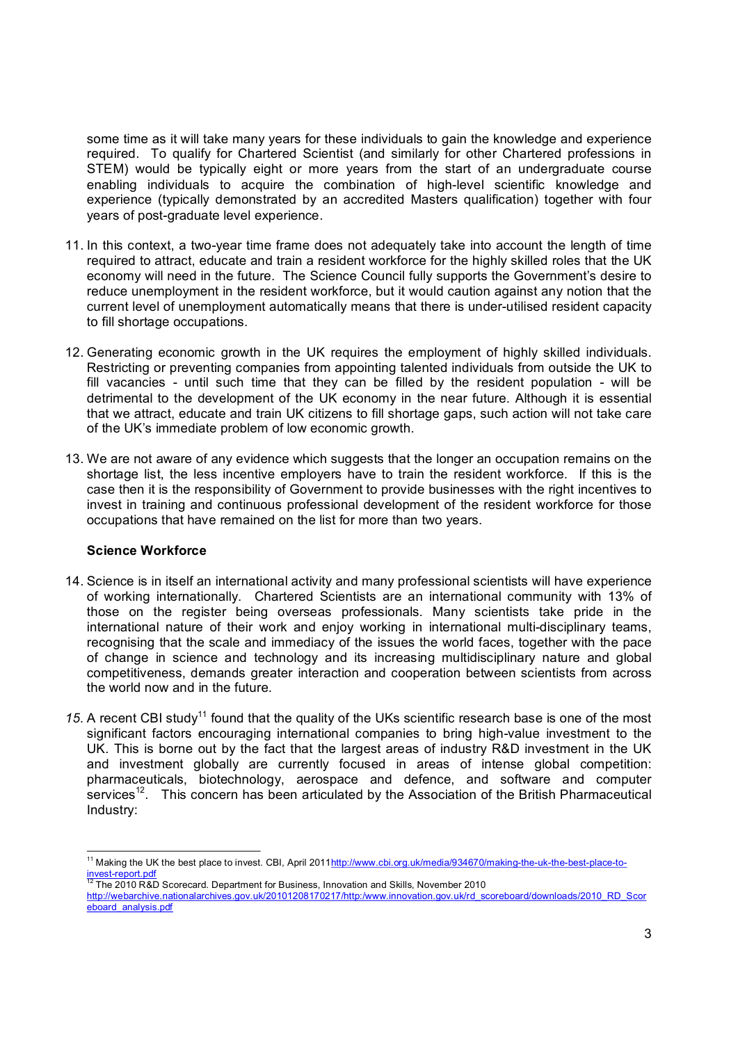some time as it will take many vears for these individuals to gain the knowledge and experience required. To qualify for Chartered Scientist (and similarly for other Chartered professions in STEM) would be typically eight or more years from the start of an undergraduate course enabling individuals to acquire the combination of high-level scientific knowledge and experience (typically demonstrated by an accredited Masters qualification) together with four years of post-graduate level experience.

- 11. In this context, a two-year time frame does not adequately take into account the length of time required to attract, educate and train a resident workforce for the highly skilled roles that the UK economy will need in the future. The Science Council fully supports the Government's desire to reduce unemployment in the resident workforce, but it would caution against any notion that the current level of unemployment automatically means that there is under-utilised resident capacity to fill shortage occupations.
- 12. Generating economic growth in the UK requires the employment of highly skilled individuals. Restricting or preventing companies from appointing talented individuals from outside the UK to fill vacancies - until such time that they can be filled by the resident population - will be detrimental to the development of the UK economy in the near future. Although it is essential that we attract, educate and train UK citizens to fill shortage gaps, such action will not take care of the UK's immediate problem of low economic growth.
- 13. We are not aware of any evidence which suggests that the longer an occupation remains on the shortage list, the less incentive employers have to train the resident workforce. If this is the case then it is the responsibility of Government to provide businesses with the right incentives to invest in training and continuous professional development of the resident workforce for those occupations that have remained on the list for more than two years.

### **Science Workforce**

- 14. Science is in itself an international activity and many professional scientists will have experience of working internationally. Chartered Scientists are an international community with 13% of those on the register being overseas professionals. Many scientists take pride in the international nature of their work and enjoy working in international multi-disciplinary teams, recognising that the scale and immediacy of the issues the world faces, together with the pace of change in science and technology and its increasing multidisciplinary nature and global competitiveness, demands greater interaction and cooperation between scientists from across the world now and in the future.
- 15. A recent CBI study<sup>11</sup> found that the quality of the UKs scientific research base is one of the most significant factors encouraging international companies to bring high-value investment to the UK. This is borne out by the fact that the largest areas of industry R&D investment in the UK and investment globally are currently focused in areas of intense global competition: pharmaceuticals, biotechnology, aerospace and defence, and software and computer services<sup>12</sup>. This concern has been articulated by the Association of the British Pharmaceutical Industry:

<sup>&</sup>lt;sup>11</sup> Making the UK the best place to invest. CBI, April 2011<u>http://www.cbi.org.uk/media/934670/making-the-uk-the-best-place-to-<br>invest-report.pdf</u>

The 2010 R&D Scorecard. Department for Business, Innovation and Skills, November 2010 [http://webarchive.nationalarchives.gov.uk/20101208170217/http:/www.innovation.gov.uk/rd\\_scoreboard/downloads/2010\\_RD\\_Scor](http://webarchive.nationalarchives.gov.uk/20101208170217/http%3A/www.innovation.gov.uk/rd_scoreboard/downloads/2010_RD_Scoreboard_analysis.pdf) eboard\_analysis.pdf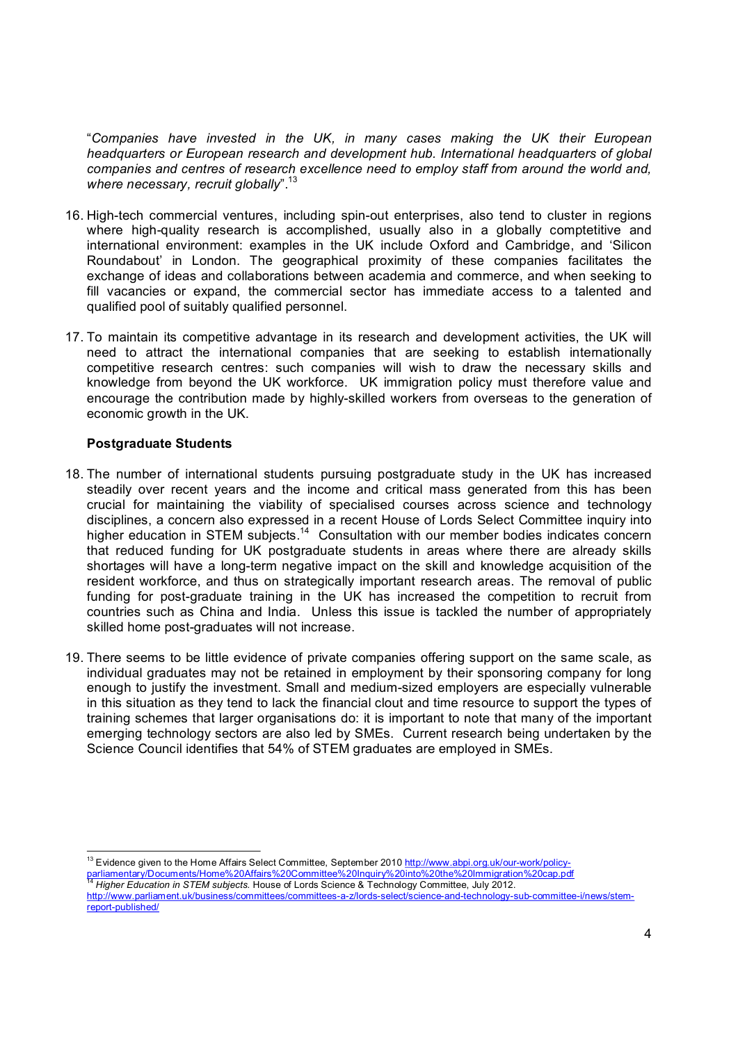"*Companies have invested in the UK, in many cases making the UK their European headquarters or European research and development hub. International headquarters of global companies and centres of research excellence need to employ staff from around the world and, where necessary, recruit globally*". <sup>13</sup>

- 16. High-tech commercial ventures, including spin-out enterprises, also tend to cluster in regions where high-quality research is accomplished, usually also in a globally comptetitive and international environment: examples in the UK include Oxford and Cambridge, and 'Silicon Roundabout' in London. The geographical proximity of these companies facilitates the exchange of ideas and collaborations between academia and commerce, and when seeking to fill vacancies or expand, the commercial sector has immediate access to a talented and qualified pool of suitably qualified personnel.
- 17. To maintain its competitive advantage in its research and development activities, the UK will need to attract the international companies that are seeking to establish internationally competitive research centres: such companies will wish to draw the necessary skills and knowledge from beyond the UK workforce. UK immigration policy must therefore value and encourage the contribution made by highly-skilled workers from overseas to the generation of economic growth in the UK.

## **Postgraduate Students**

- 18. The number of international students pursuing postgraduate study in the UK has increased steadily over recent years and the income and critical mass generated from this has been crucial for maintaining the viability of specialised courses across science and technology disciplines, a concern also expressed in a recent House of Lords Select Committee inquiry into higher education in STEM subjects.<sup>14</sup> Consultation with our member bodies indicates concern that reduced funding for UK postgraduate students in areas where there are already skills shortages will have a long-term negative impact on the skill and knowledge acquisition of the resident workforce, and thus on strategically important research areas. The removal of public funding for post-graduate training in the UK has increased the competition to recruit from countries such as China and India. Unless this issue is tackled the number of appropriately skilled home post-graduates will not increase.
- 19. There seems to be little evidence of private companies offering support on the same scale, as individual graduates may not be retained in employment by their sponsoring company for long enough to justify the investment. Small and medium-sized employers are especially vulnerable in this situation as they tend to lack the financial clout and time resource to support the types of training schemes that larger organisations do: it is important to note that many of the important emerging technology sectors are also led by SMEs. Current research being undertaken by the Science Council identifies that 54% of STEM graduates are employed in SMEs.

parliamentary/Documents/Home%20Affairs%20Committee%20Inquiry%20into%20the%20Inmigration%20cap.pdf<br><sup>14</sup> Higher Education in STEM subjects. House of Lords Science & Technology Committee, July 2012.

<sup>&</sup>lt;sup>13</sup> Evidence given to the Home Affairs Select Committee, September 2010 http://www.abpi.org.uk/our-work/policy-

http://www.parliament.uk/business/committees/committees-a-z/lords-select/science-and-technology-sub-committee-i/news/stemreport-published/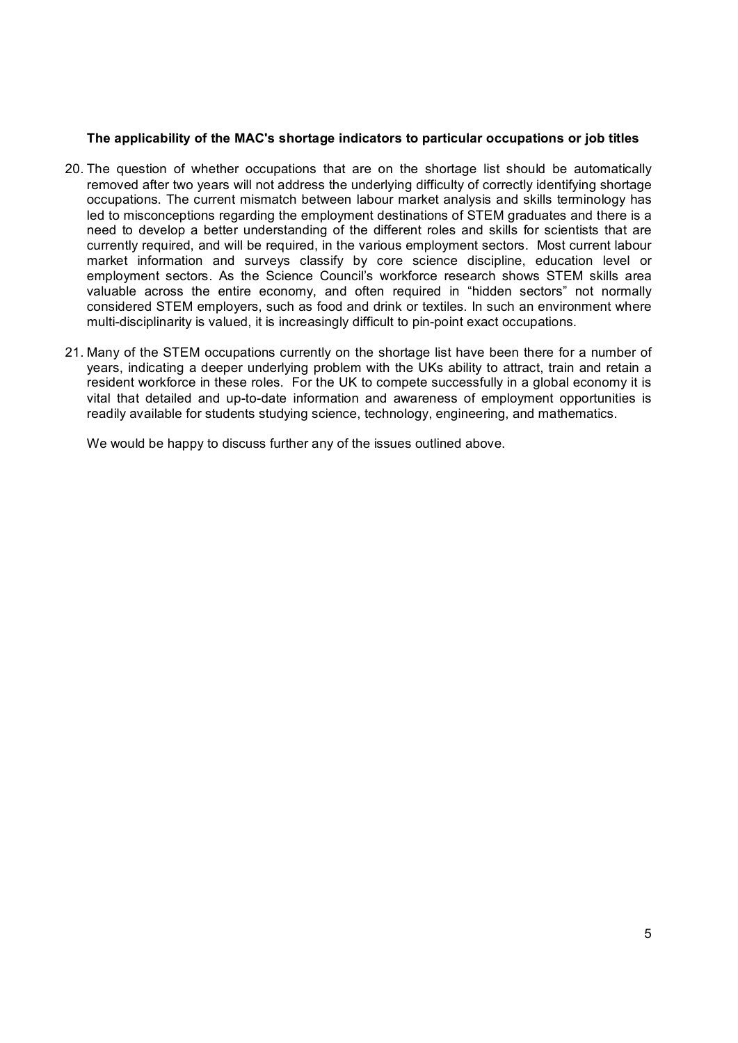## **The applicability of the MAC's shortage indicators to particular occupations or job titles**

- 20. The question of whether occupations that are on the shortage list should be automatically removed after two years will not address the underlying difficulty of correctly identifying shortage occupations. The current mismatch between labour market analysis and skills terminology has led to misconceptions regarding the employment destinations of STEM graduates and there is a need to develop a better understanding of the different roles and skills for scientists that are currently required, and will be required, in the various employment sectors. Most current labour market information and surveys classify by core science discipline, education level or employment sectors. As the Science Council's workforce research shows STEM skills area valuable across the entire economy, and often required in "hidden sectors" not normally considered STEM employers, such as food and drink or textiles. In such an environment where multi-disciplinarity is valued, it is increasingly difficult to pin-point exact occupations.
- 21. Many of the STEM occupations currently on the shortage list have been there for a number of years, indicating a deeper underlying problem with the UKs ability to attract, train and retain a resident workforce in these roles. For the UK to compete successfully in a global economy it is vital that detailed and up-to-date information and awareness of employment opportunities is readily available for students studying science, technology, engineering, and mathematics.

We would be happy to discuss further any of the issues outlined above.